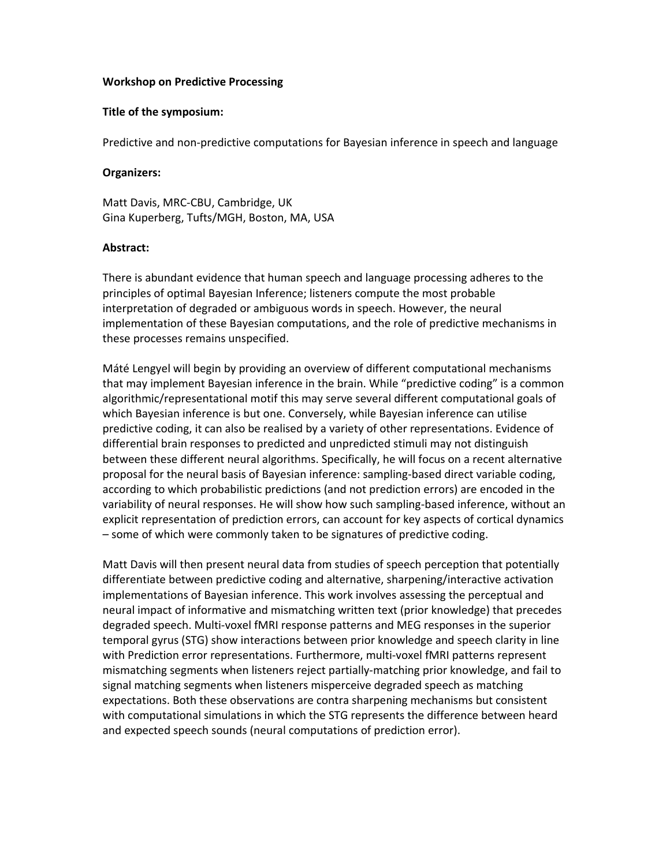## **Workshop on Predictive Processing**

## **Title of the symposium:**

Predictive and non‐predictive computations for Bayesian inference in speech and language

## **Organizers:**

Matt Davis, MRC‐CBU, Cambridge, UK Gina Kuperberg, Tufts/MGH, Boston, MA, USA

## **Abstract:**

There is abundant evidence that human speech and language processing adheres to the principles of optimal Bayesian Inference; listeners compute the most probable interpretation of degraded or ambiguous words in speech. However, the neural implementation of these Bayesian computations, and the role of predictive mechanisms in these processes remains unspecified.

Máté Lengyel will begin by providing an overview of different computational mechanisms that may implement Bayesian inference in the brain. While "predictive coding" is a common algorithmic/representational motif this may serve several different computational goals of which Bayesian inference is but one. Conversely, while Bayesian inference can utilise predictive coding, it can also be realised by a variety of other representations. Evidence of differential brain responses to predicted and unpredicted stimuli may not distinguish between these different neural algorithms. Specifically, he will focus on a recent alternative proposal for the neural basis of Bayesian inference: sampling‐based direct variable coding, according to which probabilistic predictions (and not prediction errors) are encoded in the variability of neural responses. He will show how such sampling-based inference, without an explicit representation of prediction errors, can account for key aspects of cortical dynamics – some of which were commonly taken to be signatures of predictive coding.

Matt Davis will then present neural data from studies of speech perception that potentially differentiate between predictive coding and alternative, sharpening/interactive activation implementations of Bayesian inference. This work involves assessing the perceptual and neural impact of informative and mismatching written text (prior knowledge) that precedes degraded speech. Multi‐voxel fMRI response patterns and MEG responses in the superior temporal gyrus (STG) show interactions between prior knowledge and speech clarity in line with Prediction error representations. Furthermore, multi‐voxel fMRI patterns represent mismatching segments when listeners reject partially‐matching prior knowledge, and fail to signal matching segments when listeners misperceive degraded speech as matching expectations. Both these observations are contra sharpening mechanisms but consistent with computational simulations in which the STG represents the difference between heard and expected speech sounds (neural computations of prediction error).